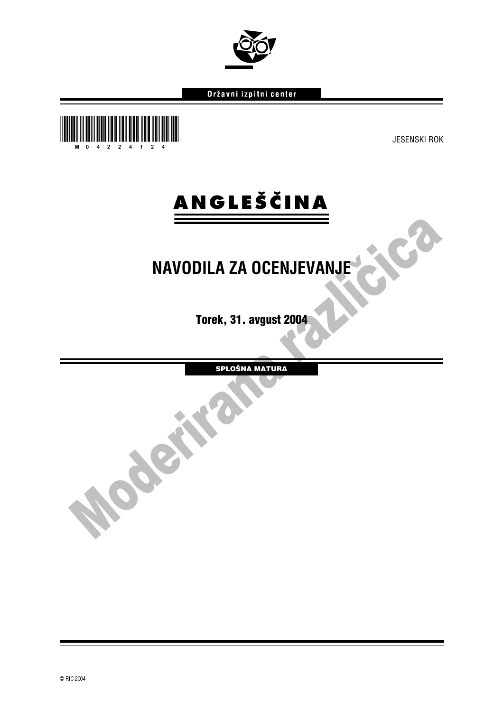© RIC 2004

# Državni izpitni center



**ANGLEŠČINA** 

Torek, 31. avgust 2004

SPLOŠNA MATURA

JCB

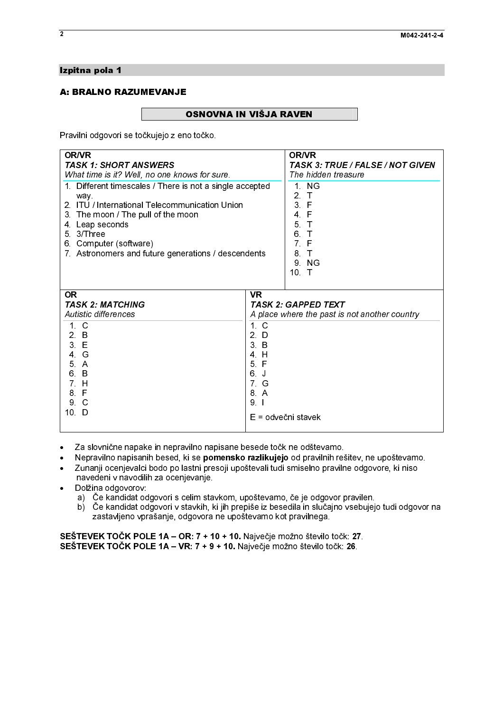# Izpitna pola 1<br>A: BRALNO RAZUMEVANJE

A: BRALAND RAZUMEVANDE<br>A: Bravilhi edgeveri ee teëkvisie z ere Pravilni odgovori se točkujejo z eno točko.

| <b>OR/VR</b><br>OR/VR<br><b>TASK 1: SHORT ANSWERS</b><br><b>TASK 3: TRUE / FALSE / NOT GIVEN</b><br>What time is it? Well, no one knows for sure.<br>The hidden treasure<br>1 NG<br>1. Different timescales / There is not a single accepted<br>2 <sub>1</sub><br>way.<br>2. ITU / International Telecommunication Union<br>3 F<br>4 F<br>3. The moon / The pull of the moon<br>5 <sub>T</sub><br>4 Leap seconds<br>5 3/Three<br>6 T<br>7 <sup>7</sup><br>F<br>6. Computer (software)<br>7. Astronomers and future generations / descendents<br>8 <sub>1</sub><br>9 NG<br>10 T<br><b>OR</b><br><b>VR</b><br><b>TASK 2: MATCHING</b><br><b>TASK 2: GAPPED TEXT</b><br>Autistic differences<br>A place where the past is not another country<br>$1\quad C$<br>1 <sub>c</sub><br>$2$ D<br>2. B<br>3 E<br>$31$ B<br>4 G<br>4 H<br>5 F<br>5 A<br>6 J<br>6 B<br>7 G<br>7 H<br>8 F<br>8. A<br>9 C<br>$9 \mid$<br>10 D<br>E = odvečni stavek<br>Za slovnične napake in nepravilno napisane besede točk ne odštevamo.<br>٠<br>Nepravilno napisanih besed, ki se pomensko razlikujejo od pravilnih rešitev, ne upoštevamo.<br>٠<br>Zunanji ocenjevalci bodo po lastni presoji upoštevali tudi smiselno pravilne odgovore, ki niso<br>٠<br>navedeni v navodilih za ocenjevanje.<br>Dolžina odgovorov:<br>٠<br>a) Če kandidat odgovori s celim stavkom, upoštevamo, če je odgovor pravilen.<br>zastavljeno vprašanje, odgovora ne upoštevamo kot pravilnega. |  |  |  |
|--------------------------------------------------------------------------------------------------------------------------------------------------------------------------------------------------------------------------------------------------------------------------------------------------------------------------------------------------------------------------------------------------------------------------------------------------------------------------------------------------------------------------------------------------------------------------------------------------------------------------------------------------------------------------------------------------------------------------------------------------------------------------------------------------------------------------------------------------------------------------------------------------------------------------------------------------------------------------------------------------------------------------------------------------------------------------------------------------------------------------------------------------------------------------------------------------------------------------------------------------------------------------------------------------------------------------------------------------------------------------------------------------------------------------------------------------|--|--|--|
|                                                                                                                                                                                                                                                                                                                                                                                                                                                                                                                                                                                                                                                                                                                                                                                                                                                                                                                                                                                                                                                                                                                                                                                                                                                                                                                                                                                                                                                  |  |  |  |
|                                                                                                                                                                                                                                                                                                                                                                                                                                                                                                                                                                                                                                                                                                                                                                                                                                                                                                                                                                                                                                                                                                                                                                                                                                                                                                                                                                                                                                                  |  |  |  |
|                                                                                                                                                                                                                                                                                                                                                                                                                                                                                                                                                                                                                                                                                                                                                                                                                                                                                                                                                                                                                                                                                                                                                                                                                                                                                                                                                                                                                                                  |  |  |  |
| b) Če kandidat odgovori v stavkih, ki jih prepiše iz besedila in slučajno vsebujejo tudi odgovor na<br>SEŠTEVEK TOČK POLE 1A - OR: 7 + 10 + 10. Največje možno število točk: 27.<br>SEŠTEVEK TOČK POLE 1A - VR: 7 + 9 + 10. Največje možno število točk: 26.                                                                                                                                                                                                                                                                                                                                                                                                                                                                                                                                                                                                                                                                                                                                                                                                                                                                                                                                                                                                                                                                                                                                                                                     |  |  |  |
|                                                                                                                                                                                                                                                                                                                                                                                                                                                                                                                                                                                                                                                                                                                                                                                                                                                                                                                                                                                                                                                                                                                                                                                                                                                                                                                                                                                                                                                  |  |  |  |
|                                                                                                                                                                                                                                                                                                                                                                                                                                                                                                                                                                                                                                                                                                                                                                                                                                                                                                                                                                                                                                                                                                                                                                                                                                                                                                                                                                                                                                                  |  |  |  |

- 
- -● Za slovnične napake in nepravilno napisane besede točk ne odštevamo.<br>● Nepravilno napisanih besed, ki se **pomensko razlikujejo** od pravilnih rešitev, ne upoštevamo.
- -Nepravilno napisanih besed, ki se **pomensko razlikujejo** od pravilnih rešitev, ne upoštevamo.<br>Zunanji ocenjevalci bodo po lastni presoji upoštevali tudi smiselno pravilne odgovore, ki niso<br>navedeni v navodilih za ocenjevan Zunanji ocenjevalci bodo po lastni presoji upoštevali tudi smiselno pravilne odgovore, ki niso navedeni v navodilih za ocenjevanje.
- Dolžina odgovorov:
	- a) Če kandidat odgovori s celim stavkom, upoštevamo, če je odgovor pravilen.
	- b) Če kandidat odgovori v stavkih, ki jih prepiše iz besedila in slučajno vsebujejo tudi odgovor na zastavljeno vprašanje, odgovora ne upoštevamo kot pravilnega.

 **SESTEVEK TOCK POLE 1A – OR: 7 + 10 + 10.** Največje možno število točk: 27.<br>SEŠTEVEK TOČK POLE 1A – VR: 7 + 9 + 10. Največje možno število točk: 26.<br>. SESTEVEK TOCK POLE 1A – VR: 7 + 9 + 10. Največje možno število točk: 26.<br>.<br>.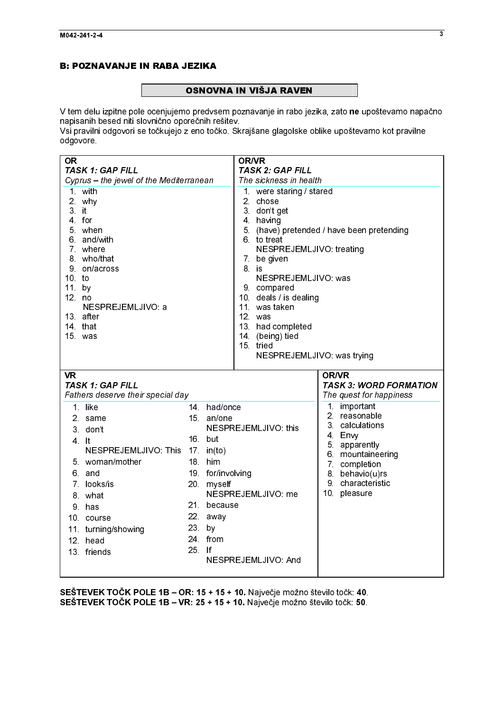# **Example 2** OSNOV

 $\frac{1}{2}$ UNITO DE MARIJA RAVIGIJA U TAM ISLAMA I<br>V tem delu izpitne pole ocenjujemo predvsem poznavanje in rabo jez<br>Nsi pravilni odgovori se točkujejo z eno točko. Skrajšane glagolske ol V tem delu izpitne pole ocenjujemo predvsem poznavanje in rabo jezika, zato **ne** upoštevamo napačno.<br>napisanih besed niti slovnično oporečnih rešitev. napisanih besed niti slovnično oporečnih rešitev.

Vsi pravilni odgovori se točkujejo z eno točko. Skrajšane glagolske oblike upoštevamo kot pravilne odgovore.

| Cyprus - the jewel of the Mediterranean<br>The sickness in health<br>1 with<br>1 were staring / stared<br>2 chose<br>2 why<br>$3$ it<br>3 don't get<br>4 having<br>4 for<br>5. (have) pretended / have been pretending<br>5 when<br>6 and/with<br>6 to treat<br>7 where<br>NESPREJEMLJIVO: treating<br>8 who/that<br>7 be given<br>9 on/across<br>8 is<br>10 to<br>NESPREJEMLJIVO: was<br>11 <sub>1</sub><br>9 compared<br>by<br>10 deals / is dealing<br>12. no<br>11 was taken<br>NESPREJEMLJIVO: a<br>12 was<br>13 after<br>14 that<br>13 had completed<br>15 was<br>14 (being) tied<br>15 tried<br>NESPREJEMLJIVO: was trying<br><b>VR</b><br><b>OR/VR</b><br><b>TASK 3: WORD FORMATION</b><br><b>TASK 1: GAP FILL</b><br>Fathers deserve their special day<br>The quest for happiness<br>1. important<br>14 had/once<br>1 like<br>2 <sup>1</sup><br>reasonable<br>15 an/one<br>2. same<br>3 calculations<br>NESPREJEMLJIVO this<br>3 don't<br>4 Envy<br>16 but<br>4 It<br>5 apparently<br>NESPREJEMLJIVO. This<br>17. in(to)<br>6 mountaineering<br>18 him<br>5 woman/mother<br>7 completion<br>19 for/involving<br>6. and<br>8. behavio(u)rs<br>9 characteristic<br>7 looks/is<br>20. myself<br>10.<br>NESPREJEMLJIVO: me<br>pleasure<br>8 what<br>21 because<br>9 has<br>22 away<br>10 course<br>23 by<br>11 turning/showing<br>24. from<br>12. head<br>25. If<br>13 friends<br>NESPREJEMLJIVO: And |  |  | <b>OR</b>               | <b>OR/VR</b>            |  |
|------------------------------------------------------------------------------------------------------------------------------------------------------------------------------------------------------------------------------------------------------------------------------------------------------------------------------------------------------------------------------------------------------------------------------------------------------------------------------------------------------------------------------------------------------------------------------------------------------------------------------------------------------------------------------------------------------------------------------------------------------------------------------------------------------------------------------------------------------------------------------------------------------------------------------------------------------------------------------------------------------------------------------------------------------------------------------------------------------------------------------------------------------------------------------------------------------------------------------------------------------------------------------------------------------------------------------------------------------------------------------------------------------------|--|--|-------------------------|-------------------------|--|
|                                                                                                                                                                                                                                                                                                                                                                                                                                                                                                                                                                                                                                                                                                                                                                                                                                                                                                                                                                                                                                                                                                                                                                                                                                                                                                                                                                                                            |  |  | <b>TASK 1: GAP FILL</b> | <b>TASK 2: GAP FILL</b> |  |
| SEŠTEVEK TOČK POLE 1B - OR: 15 + 15 + 10. Največje možno število točk: 40.<br>SEŠTEVEK TOČK POLE 1B - VR: 25 + 15 + 10. Največje možno število točk: 50.                                                                                                                                                                                                                                                                                                                                                                                                                                                                                                                                                                                                                                                                                                                                                                                                                                                                                                                                                                                                                                                                                                                                                                                                                                                   |  |  |                         |                         |  |
|                                                                                                                                                                                                                                                                                                                                                                                                                                                                                                                                                                                                                                                                                                                                                                                                                                                                                                                                                                                                                                                                                                                                                                                                                                                                                                                                                                                                            |  |  |                         |                         |  |
|                                                                                                                                                                                                                                                                                                                                                                                                                                                                                                                                                                                                                                                                                                                                                                                                                                                                                                                                                                                                                                                                                                                                                                                                                                                                                                                                                                                                            |  |  |                         |                         |  |
|                                                                                                                                                                                                                                                                                                                                                                                                                                                                                                                                                                                                                                                                                                                                                                                                                                                                                                                                                                                                                                                                                                                                                                                                                                                                                                                                                                                                            |  |  |                         |                         |  |
|                                                                                                                                                                                                                                                                                                                                                                                                                                                                                                                                                                                                                                                                                                                                                                                                                                                                                                                                                                                                                                                                                                                                                                                                                                                                                                                                                                                                            |  |  |                         |                         |  |
|                                                                                                                                                                                                                                                                                                                                                                                                                                                                                                                                                                                                                                                                                                                                                                                                                                                                                                                                                                                                                                                                                                                                                                                                                                                                                                                                                                                                            |  |  |                         |                         |  |
|                                                                                                                                                                                                                                                                                                                                                                                                                                                                                                                                                                                                                                                                                                                                                                                                                                                                                                                                                                                                                                                                                                                                                                                                                                                                                                                                                                                                            |  |  |                         |                         |  |
|                                                                                                                                                                                                                                                                                                                                                                                                                                                                                                                                                                                                                                                                                                                                                                                                                                                                                                                                                                                                                                                                                                                                                                                                                                                                                                                                                                                                            |  |  |                         |                         |  |
|                                                                                                                                                                                                                                                                                                                                                                                                                                                                                                                                                                                                                                                                                                                                                                                                                                                                                                                                                                                                                                                                                                                                                                                                                                                                                                                                                                                                            |  |  |                         |                         |  |
|                                                                                                                                                                                                                                                                                                                                                                                                                                                                                                                                                                                                                                                                                                                                                                                                                                                                                                                                                                                                                                                                                                                                                                                                                                                                                                                                                                                                            |  |  |                         |                         |  |
|                                                                                                                                                                                                                                                                                                                                                                                                                                                                                                                                                                                                                                                                                                                                                                                                                                                                                                                                                                                                                                                                                                                                                                                                                                                                                                                                                                                                            |  |  |                         |                         |  |
|                                                                                                                                                                                                                                                                                                                                                                                                                                                                                                                                                                                                                                                                                                                                                                                                                                                                                                                                                                                                                                                                                                                                                                                                                                                                                                                                                                                                            |  |  |                         |                         |  |
|                                                                                                                                                                                                                                                                                                                                                                                                                                                                                                                                                                                                                                                                                                                                                                                                                                                                                                                                                                                                                                                                                                                                                                                                                                                                                                                                                                                                            |  |  |                         |                         |  |
|                                                                                                                                                                                                                                                                                                                                                                                                                                                                                                                                                                                                                                                                                                                                                                                                                                                                                                                                                                                                                                                                                                                                                                                                                                                                                                                                                                                                            |  |  |                         |                         |  |
|                                                                                                                                                                                                                                                                                                                                                                                                                                                                                                                                                                                                                                                                                                                                                                                                                                                                                                                                                                                                                                                                                                                                                                                                                                                                                                                                                                                                            |  |  |                         |                         |  |
|                                                                                                                                                                                                                                                                                                                                                                                                                                                                                                                                                                                                                                                                                                                                                                                                                                                                                                                                                                                                                                                                                                                                                                                                                                                                                                                                                                                                            |  |  |                         |                         |  |
|                                                                                                                                                                                                                                                                                                                                                                                                                                                                                                                                                                                                                                                                                                                                                                                                                                                                                                                                                                                                                                                                                                                                                                                                                                                                                                                                                                                                            |  |  |                         |                         |  |
|                                                                                                                                                                                                                                                                                                                                                                                                                                                                                                                                                                                                                                                                                                                                                                                                                                                                                                                                                                                                                                                                                                                                                                                                                                                                                                                                                                                                            |  |  |                         |                         |  |
|                                                                                                                                                                                                                                                                                                                                                                                                                                                                                                                                                                                                                                                                                                                                                                                                                                                                                                                                                                                                                                                                                                                                                                                                                                                                                                                                                                                                            |  |  |                         |                         |  |
|                                                                                                                                                                                                                                                                                                                                                                                                                                                                                                                                                                                                                                                                                                                                                                                                                                                                                                                                                                                                                                                                                                                                                                                                                                                                                                                                                                                                            |  |  |                         |                         |  |
|                                                                                                                                                                                                                                                                                                                                                                                                                                                                                                                                                                                                                                                                                                                                                                                                                                                                                                                                                                                                                                                                                                                                                                                                                                                                                                                                                                                                            |  |  |                         |                         |  |
|                                                                                                                                                                                                                                                                                                                                                                                                                                                                                                                                                                                                                                                                                                                                                                                                                                                                                                                                                                                                                                                                                                                                                                                                                                                                                                                                                                                                            |  |  |                         |                         |  |
|                                                                                                                                                                                                                                                                                                                                                                                                                                                                                                                                                                                                                                                                                                                                                                                                                                                                                                                                                                                                                                                                                                                                                                                                                                                                                                                                                                                                            |  |  |                         |                         |  |
|                                                                                                                                                                                                                                                                                                                                                                                                                                                                                                                                                                                                                                                                                                                                                                                                                                                                                                                                                                                                                                                                                                                                                                                                                                                                                                                                                                                                            |  |  |                         |                         |  |
|                                                                                                                                                                                                                                                                                                                                                                                                                                                                                                                                                                                                                                                                                                                                                                                                                                                                                                                                                                                                                                                                                                                                                                                                                                                                                                                                                                                                            |  |  |                         |                         |  |
|                                                                                                                                                                                                                                                                                                                                                                                                                                                                                                                                                                                                                                                                                                                                                                                                                                                                                                                                                                                                                                                                                                                                                                                                                                                                                                                                                                                                            |  |  |                         |                         |  |
|                                                                                                                                                                                                                                                                                                                                                                                                                                                                                                                                                                                                                                                                                                                                                                                                                                                                                                                                                                                                                                                                                                                                                                                                                                                                                                                                                                                                            |  |  |                         |                         |  |
|                                                                                                                                                                                                                                                                                                                                                                                                                                                                                                                                                                                                                                                                                                                                                                                                                                                                                                                                                                                                                                                                                                                                                                                                                                                                                                                                                                                                            |  |  |                         |                         |  |
|                                                                                                                                                                                                                                                                                                                                                                                                                                                                                                                                                                                                                                                                                                                                                                                                                                                                                                                                                                                                                                                                                                                                                                                                                                                                                                                                                                                                            |  |  |                         |                         |  |
|                                                                                                                                                                                                                                                                                                                                                                                                                                                                                                                                                                                                                                                                                                                                                                                                                                                                                                                                                                                                                                                                                                                                                                                                                                                                                                                                                                                                            |  |  |                         |                         |  |
|                                                                                                                                                                                                                                                                                                                                                                                                                                                                                                                                                                                                                                                                                                                                                                                                                                                                                                                                                                                                                                                                                                                                                                                                                                                                                                                                                                                                            |  |  |                         |                         |  |
|                                                                                                                                                                                                                                                                                                                                                                                                                                                                                                                                                                                                                                                                                                                                                                                                                                                                                                                                                                                                                                                                                                                                                                                                                                                                                                                                                                                                            |  |  |                         |                         |  |
|                                                                                                                                                                                                                                                                                                                                                                                                                                                                                                                                                                                                                                                                                                                                                                                                                                                                                                                                                                                                                                                                                                                                                                                                                                                                                                                                                                                                            |  |  |                         |                         |  |
|                                                                                                                                                                                                                                                                                                                                                                                                                                                                                                                                                                                                                                                                                                                                                                                                                                                                                                                                                                                                                                                                                                                                                                                                                                                                                                                                                                                                            |  |  |                         |                         |  |
|                                                                                                                                                                                                                                                                                                                                                                                                                                                                                                                                                                                                                                                                                                                                                                                                                                                                                                                                                                                                                                                                                                                                                                                                                                                                                                                                                                                                            |  |  |                         |                         |  |
|                                                                                                                                                                                                                                                                                                                                                                                                                                                                                                                                                                                                                                                                                                                                                                                                                                                                                                                                                                                                                                                                                                                                                                                                                                                                                                                                                                                                            |  |  |                         |                         |  |
|                                                                                                                                                                                                                                                                                                                                                                                                                                                                                                                                                                                                                                                                                                                                                                                                                                                                                                                                                                                                                                                                                                                                                                                                                                                                                                                                                                                                            |  |  |                         |                         |  |
|                                                                                                                                                                                                                                                                                                                                                                                                                                                                                                                                                                                                                                                                                                                                                                                                                                                                                                                                                                                                                                                                                                                                                                                                                                                                                                                                                                                                            |  |  |                         |                         |  |
|                                                                                                                                                                                                                                                                                                                                                                                                                                                                                                                                                                                                                                                                                                                                                                                                                                                                                                                                                                                                                                                                                                                                                                                                                                                                                                                                                                                                            |  |  |                         |                         |  |
|                                                                                                                                                                                                                                                                                                                                                                                                                                                                                                                                                                                                                                                                                                                                                                                                                                                                                                                                                                                                                                                                                                                                                                                                                                                                                                                                                                                                            |  |  |                         |                         |  |
|                                                                                                                                                                                                                                                                                                                                                                                                                                                                                                                                                                                                                                                                                                                                                                                                                                                                                                                                                                                                                                                                                                                                                                                                                                                                                                                                                                                                            |  |  |                         |                         |  |
|                                                                                                                                                                                                                                                                                                                                                                                                                                                                                                                                                                                                                                                                                                                                                                                                                                                                                                                                                                                                                                                                                                                                                                                                                                                                                                                                                                                                            |  |  |                         |                         |  |
|                                                                                                                                                                                                                                                                                                                                                                                                                                                                                                                                                                                                                                                                                                                                                                                                                                                                                                                                                                                                                                                                                                                                                                                                                                                                                                                                                                                                            |  |  |                         |                         |  |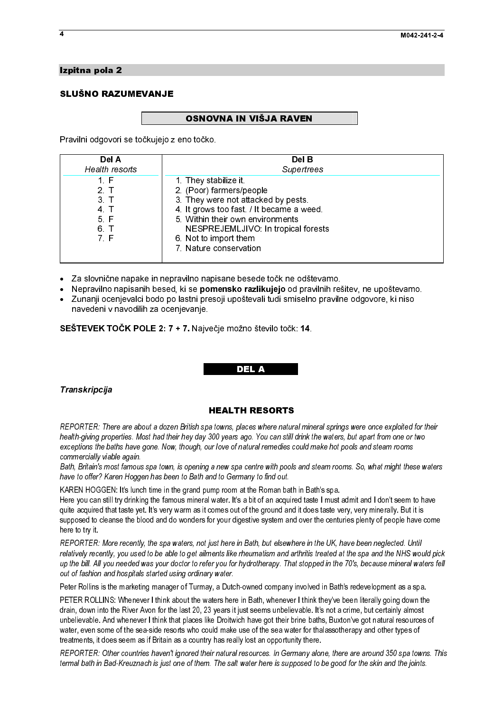# Izpitna pola 2<br>SLUŠNO RAZUMEVANJE SLUŠNO RAZUMEVANJE<br>SLUŠNO RAZUMEVANJE

.<br>F OSNOVNA IN VIŠJA RAVEN<br>Pravilni odgovori se točkujejo z eno točko.

| Del A<br>Health resorts                                                        | Del B<br>Supertrees                                                                                                                                                                                                                                                                                                                                                                                                                                                                                                                                                                                                                |
|--------------------------------------------------------------------------------|------------------------------------------------------------------------------------------------------------------------------------------------------------------------------------------------------------------------------------------------------------------------------------------------------------------------------------------------------------------------------------------------------------------------------------------------------------------------------------------------------------------------------------------------------------------------------------------------------------------------------------|
| 1 F<br>2 <sub>1</sub><br>3 <sub>1</sub><br>4 <sub>1</sub><br>5 F<br>6 T<br>7 F | 1 They stabilize it<br>2. (Poor) farmers/people<br>3. They were not attacked by pests.<br>4. It grows too fast. / It became a weed.<br>5 Within their own environments<br>NESPREJEMLJIVO: In tropical forests<br>6 Not to import them<br>7 Nature conservation                                                                                                                                                                                                                                                                                                                                                                     |
| ٠<br>٠<br>$\bullet$<br>navedeni v navodilih za ocenjevanje.                    | Za slovnične napake in nepravilno napisane besede točk ne odštevamo.<br>Nepravilno napisanih besed, ki se pomensko razlikujejo od pravilnih rešitev, ne upoštevamo.<br>Zunanji ocenjevalci bodo po lastni presoji upoštevali tudi smiselno pravilne odgovore, ki niso                                                                                                                                                                                                                                                                                                                                                              |
|                                                                                | SEŠTEVEK TOČK POLE 2: 7 + 7. Največje možno število točk: 14.<br><b>DEL A</b>                                                                                                                                                                                                                                                                                                                                                                                                                                                                                                                                                      |
| Transkripcija                                                                  | <b>HEALTH RESORTS</b><br>REPORTER: There are about a dozen British spa towns, places where natural mineral springs were once exploited for their                                                                                                                                                                                                                                                                                                                                                                                                                                                                                   |
| commercially viable again.                                                     | health-giving properties. Most had their hey day 300 years ago. You can still drink the waters, but apart from one or two<br>exceptions the baths have gone. Now, though, our love of natural remedies could make hot pools and steam rooms<br>Bath, Britain's most famous spa town, is opening a new spa centre with pools and steam rooms. So, what might these waters<br>have to offer? Karen Hoggen has been to Bath and to Germany to find out.                                                                                                                                                                               |
| here to try it.                                                                | KAREN HOGGEN: It's lunch time in the grand pump room at the Roman bath in Bath's spa.<br>Here you can still try drinking the famous mineral water. It's a bit of an acquired taste I must admit and I don't seem to have<br>quite acquired that taste yet. It's very warm as it comes out of the ground and it does taste very, very minerally. But it is<br>supposed to cleanse the blood and do wonders for your digestive system and over the centuries plenty of people have come                                                                                                                                              |
| out of fashion and hospitals started using ordinary water.                     | REPORTER: More recently, the spa waters, not just here in Bath, but elsewhere in the UK, have been neglected. Until<br>relatively recently, you used to be able to get ailments like rheumatism and arthritis treated at the spa and the NHS would pick<br>up the bill. All you needed was your doctor to refer you for hydrotherapy. That stopped in the 70's, because mineral waters fel.                                                                                                                                                                                                                                        |
|                                                                                | Peter Rollins is the marketing manager of Turmay, a Dutch-owned company involved in Bath's redevelopment as a spa.<br>PETER ROLLINS: Whenever I think about the waters here in Bath, whenever I think they've been literally going down the<br>drain, down into the River Avon for the last 20, 23 years it just seems unbelievable. It's not a crime, but certainly almost<br>unbelievable. And whenever I think that places like Droitwich have got their brine baths, Buxton've got natural resources of<br>water, even some of the sea-side resorts who could make use of the sea water for thalassotherapy and other types of |
|                                                                                | treatments, it does seem as if Britain as a country has really lost an opportunity there.<br>REPORTER: Other countries haven't ignored their natural resources. In Germany alone, there are around 350 spa towns. Thi<br>termal bath in Bad-Kreuznach is just one of them. The salt water here is supposed to be good for the skin and the joints.                                                                                                                                                                                                                                                                                 |
|                                                                                |                                                                                                                                                                                                                                                                                                                                                                                                                                                                                                                                                                                                                                    |
|                                                                                |                                                                                                                                                                                                                                                                                                                                                                                                                                                                                                                                                                                                                                    |
|                                                                                |                                                                                                                                                                                                                                                                                                                                                                                                                                                                                                                                                                                                                                    |
|                                                                                |                                                                                                                                                                                                                                                                                                                                                                                                                                                                                                                                                                                                                                    |
|                                                                                |                                                                                                                                                                                                                                                                                                                                                                                                                                                                                                                                                                                                                                    |
|                                                                                |                                                                                                                                                                                                                                                                                                                                                                                                                                                                                                                                                                                                                                    |
|                                                                                |                                                                                                                                                                                                                                                                                                                                                                                                                                                                                                                                                                                                                                    |
|                                                                                |                                                                                                                                                                                                                                                                                                                                                                                                                                                                                                                                                                                                                                    |
|                                                                                |                                                                                                                                                                                                                                                                                                                                                                                                                                                                                                                                                                                                                                    |
|                                                                                |                                                                                                                                                                                                                                                                                                                                                                                                                                                                                                                                                                                                                                    |
|                                                                                |                                                                                                                                                                                                                                                                                                                                                                                                                                                                                                                                                                                                                                    |
|                                                                                |                                                                                                                                                                                                                                                                                                                                                                                                                                                                                                                                                                                                                                    |
|                                                                                |                                                                                                                                                                                                                                                                                                                                                                                                                                                                                                                                                                                                                                    |
|                                                                                |                                                                                                                                                                                                                                                                                                                                                                                                                                                                                                                                                                                                                                    |
|                                                                                |                                                                                                                                                                                                                                                                                                                                                                                                                                                                                                                                                                                                                                    |
|                                                                                |                                                                                                                                                                                                                                                                                                                                                                                                                                                                                                                                                                                                                                    |
|                                                                                |                                                                                                                                                                                                                                                                                                                                                                                                                                                                                                                                                                                                                                    |
|                                                                                |                                                                                                                                                                                                                                                                                                                                                                                                                                                                                                                                                                                                                                    |
|                                                                                |                                                                                                                                                                                                                                                                                                                                                                                                                                                                                                                                                                                                                                    |
|                                                                                |                                                                                                                                                                                                                                                                                                                                                                                                                                                                                                                                                                                                                                    |
|                                                                                |                                                                                                                                                                                                                                                                                                                                                                                                                                                                                                                                                                                                                                    |
|                                                                                |                                                                                                                                                                                                                                                                                                                                                                                                                                                                                                                                                                                                                                    |
|                                                                                |                                                                                                                                                                                                                                                                                                                                                                                                                                                                                                                                                                                                                                    |
|                                                                                |                                                                                                                                                                                                                                                                                                                                                                                                                                                                                                                                                                                                                                    |
|                                                                                |                                                                                                                                                                                                                                                                                                                                                                                                                                                                                                                                                                                                                                    |
|                                                                                |                                                                                                                                                                                                                                                                                                                                                                                                                                                                                                                                                                                                                                    |
|                                                                                |                                                                                                                                                                                                                                                                                                                                                                                                                                                                                                                                                                                                                                    |

- $\bullet$
- -Nepravilno napisanih besed, ki se **pomensko razlikujejo** od pravilnih rešitev, ne upoštevamo.
- $\ddot{\bullet}$ -Zunanji ocenjevalci bodo po lastni presoji upoštevali tudi smiselno pravilne odgovore, ki niso navedeni v navodilih za ocenjevanje.

# SEŠTEVEK TOČK POLE 2: 7 + 7. Največje možno število točk: 14.

# $\ddot{\phantom{0}}$  Transkripcija<br>DEL AL DEL AL DEL AL DEL AL DEL AL DEL AL DEL AL DEL AL DEL AL DEL AL DEL AL DEL AL DEL AL DEL AL DEL AL DEL A<br>DEL AL DEL AL DEL AL DEL AL DEL AL DEL AL DEL AL DEL AL DEL AL DEL AL DEL AL DEL AL DEL AL DEL AL Transkripcija

6. T<br>
T. F<br>
Inične<br>
ilno r is inceleration<br>
in the prope bat<br>
is most viably viably<br>
is most viably<br>
is most viably<br>
is the sently,<br>
il you<br>
in and is the LINS:<br>
in the And the some<br>
in Bad<br>
in Bad<br>
in Bad 7. F<br>
Inične<br>
ilno r<br>
ilno r<br>
ilno r<br>
ilno r<br>
ilno r<br>
ilno r<br>
ilno r<br>
ilno r<br>
ilno r<br>
ilno r<br>
ilno r<br>
ilno r<br>
ilno r<br>
ilno r<br>
ilno r<br>
ilno r<br>
ilno r<br>
ilno r<br>
ilno r<br>
ilno r<br>
ilno r<br>
ilno r<br>
ilno r<br>
ilno r<br>
ilno r<br>
ilno r<br> The internal controller internal controller internal controller internal controller internal controller internal controller internal controller internal controller internal controller internal controller in Bad to does to NESPREJEMLJIVO: In tropical<br>
6. Not to import them<br>
7. Nature conservation<br>
xilise pomensko razlikujejo od<br>
kise pomensko razlikujejo od<br>
lastni presoji upoštevali tudi smis<br>
lastni presoji upoštevali tudi smis<br>
injevanje. Not to import them<br>
Nature conservation<br>
ilno napisane besede točk ne odštevam<br>
se pomensko razlikujejo od pravilnih<br>
stni presoji upoštevali tudi smiselno pra<br>
vanje.<br>
"Največje možno število točk: 14.<br>
DEALTH RESORTS<br>
IS 7. Nature conservation<br>
avilho napisane besed<br>
ki se **pomensko raz**<br>
lastni presoji upoštev<br>
pievanje.<br> **FRALTH R**<br> **FRALTH R**<br> **HEALTH R**<br>
1<br> **HEALTH R**<br>
1<br> **HEALTH R**<br>
1<br> **HEALTH R**<br>
1<br> **HEALTH R**<br>
1<br> **IFRALTH R**<br>
1<br> **IF** Fraction Computer and the search of the search of the search of the search (in the search of the search of the search of the search of the search of the search of the search of the search of the search of the search of the **Nepravilno napisanih besed, ki se pomensko razlikujejo od pravilnih režumanji ocenjevanji presediji prostevali tudi smissino pravilnih režumanji ocenjevanji presediji prostevali tudi smissino pravilnih režumanji ocenjevan** Zuranniji coenjevaled bedog biastics and presedent and set positive all in streaments of properties. Ki insections and the strength of the strength coense of the strength of the strength of the strength of the strength of The Vietnamies of the same about a discussion of the same interest in the same of the same of the same of the same of the same of the same of the same of the same of the same of the same of the same of the same of the same STEVEK TOČK POLE 2: 7 + 7. Najve<br>
STEVEK TOČK POLE 2: 7 + 7. Najve<br>
DORTER: There are about a dozen British space.<br>
NORTER: There are about a dozen British space.<br>
Hith-giving properties. Most had their hey day 3<br>
perions start of the centure of the start fraction of the centure of the contract fraction of the contract of the contract of the contract of the contract of the contract of the contract of the contract of the contract of the cont **Example 19.** There are about a dozen British spa towns, places where natural minimal term is the same of the same of the same of the same in the same in the same of the same of the same of the same of the same of the same っぴ アナモCEナ トトCSト チァレC F FCLNt チナ PETER ROLLINS: Whenever I think about the waters here in Bath, whenever I think they've been literally going down the drain, down into the River Avon for the last 20, 23 years it just seems unbelievable. It's not a crime, but certainly almost unbelievable. And whenever I think that places like Droitwich have got their brine baths, Buxton've got natural resources of water, even some of the sea-side resorts who could make use of the sea water for thalassotherapy and other types of treatments, it does seem as if Britain as a country has really lost an opportunity there.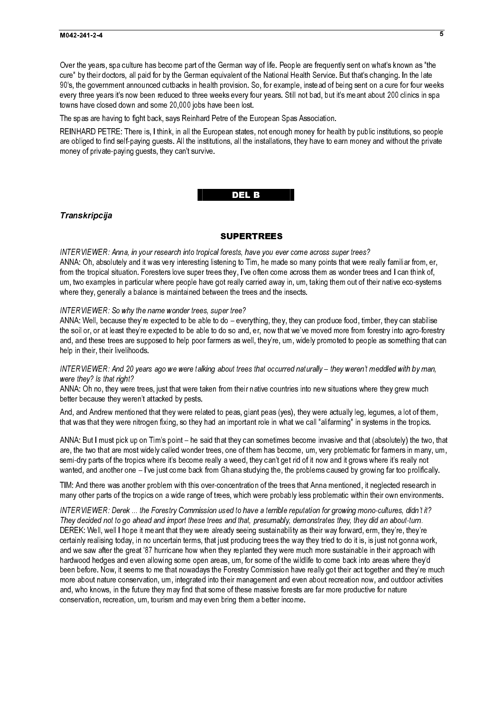# $M$

Over the years, spa culture has become part of the German way of life. People are frequently sent on what's known as "the cure" by their doctors, all paid for by the German equivalent of the National Health Service. But that's changing. In the late 90's, the government announced cutbacks in health provision. So, for example, instead of being sent on a cure for four weeks every three years it's now been reduced to three weeks every four years. Still not bad, but it's meant about 200 clinics in spa towns have closed down and some 20,000 jobs have been lost.

The spas are having to fight back, says Reinhard Petre of the European Spas Association.

REINHARD PETRE: There is, I think, in all the European states, not enough money for health by public institutions, so people are obliged to find self-paying guests. All the institutions, all the installations, they have to earn money and without the private money of private-paying guests, they can't survive.

# del de la construcción de la construcción de la construcción de la construcción de la construcción de la const

# Transkripcija

### SUPERTREES

INTERVIEWER: Anna, in your research into tropical forests, have you ever come across super trees? ANNA: Oh, absolutely and it was very interesting listening to Tim, he made so many points that were really familiar from, er, from the tropical situation. Foresters love super trees they, I've often come across them as wonder trees and I can think of, um, two examples in particular where people have got really carried away in, um, taking them out of their native eco-systems where they, generally a balance is maintained between the trees and the insects.

### INTERVIEWER: So why the name wonder trees, super tree?

ANNA: Well, because they're expected to be able to do – everything, they, they can produce food, timber, they can stabilise the soil or, or at least they're expected to be able to do so and, er, now that we've moved more from forestry into agro-forestry and, and these trees are supposed to help poor farmers as well, they're, um, widely promoted to people as something that can help in their, their livelihoods.

INTERVIEWER: And 20 years ago we were talking about trees that occurred naturally – they weren't meddled with by man, were they? Is that right?

ANNA: Oh no, they were trees, just that were taken from their native countries into new situations where they grew much better because they weren't attacked by pests.

And, and Andrew mentioned that they were related to peas, giant peas (yes), they were actually leg, legumes, a lot of them, that was that they were nitrogen fixing, so they had an important role in what we call "alifarming" in systems in the tropics.

ANNA: But I must pick up on Tim's point – he said that they can sometimes become invasive and that (absolutely) the two, that are, the two that are most widely called wonder trees, one of them has become, um, very problematic for farmers in many, um, semi-dry parts of the tropics where it's become really a weed, they can't get rid of it now and it grows where it's really not wanted, and another one – I've just come back from Ghana studying the, the problems caused by growing far too prolifically.

TIM: And there was another problem with this over-concentration of the trees that Anna mentioned, it neglected research in many other parts of the tropics on a wide range of trees, which were probably less problematic within their own environments.

INTERVIEWER: Derek ... the Forestry Commission used to have a terrible reputation for growing mono-cultures, didn't it? They decided not to go ahead and import these trees and that, presumably, demonstrates they, they did an about-turn. DEREK: Well, well I hope it meant that they were already seeing sustainability as their way forward, erm, they're, they're certainly realising today, in no uncertain terms, that just producing trees the way they tried to do it is, is just not gonna work, and we saw after the great '87 hurricane how when they replanted they were much more sustainable in their approach with hardwood hedges and even allowing some open areas, um, for some of the wildlife to come back into areas where they'd been before. Now, it seems to me that nowadays the Forestry Commission have really got their act together and they're much more about nature conservation, um, integrated into their management and even about recreation now, and outdoor activities and, who knows, in the future they may find that some of these massive forests are far more productive for nature conservation, recreation, um, tourism and may even bring them a better income.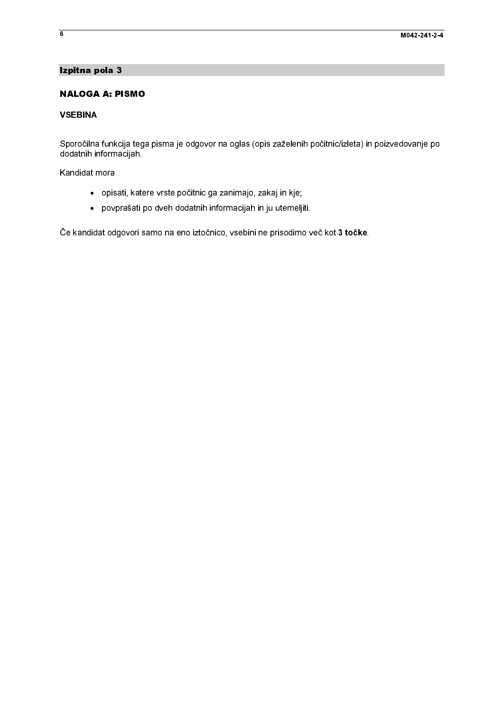# Izpitna pola 3

# **NALOGA A: PISMO**

# **VSEBINA**

**NALOGA A: PI**<br> **NALOGA A: PI**<br> **VSEBINA**<br>
Sporočilna funkci<br>
dodatnih informac<br>
Kandidat mora<br>
• povpra<br>
Če kandidat odgc ■ \ くこ ト く NALOGA A: PISMO Sporočilna<br>dodatnih ir<br>Kandidat n<br>Če kandida Sporta funkcija tega počitno ga zanimajo zakaj in kje<br>Skanddat mora<br>- pokast katere vrste počitnic ga zanimajo zakaj in kje<br>- povsnašat po sveh dodatnih informacijani in ju utemu ji.<br>Ce kandidat ospovori aamo na eno ztočni

- 
- opvyrašati po dveh dodatnih informacijah in ju utemelji<br>povyrašati po dveh dodatnih informacijah in ju utemelji<br>t odgovori samo na eno iztočnico, vsebini ne prisodimo

Kandidat mora<br>
• opisati, kate<br>
• povprašati <sub>i</sub><br>Če kandidat odgovori s  $\frac{1}{2}$ opis<br>
option<br>
Contained to the kandidat of the set of the set of the set of the set of the set of the set of the set of the<br>
Contained to the set of the set of the set of the set of the set of the set of the set of the set podatnih informacijah informacijah informacijah informacijah informacijah informacijah informacijah informacijah informacijah informacijah informacijah informacijah informacijah informacijah informacijah informacijah infor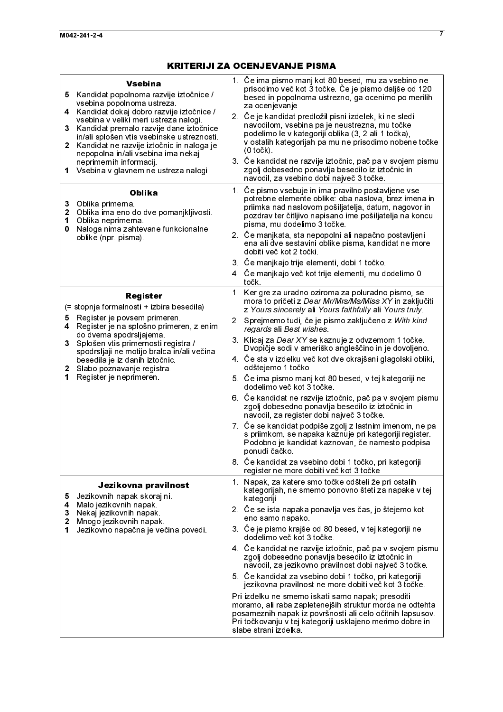| 5.<br>4<br>3<br>1<br>3<br>0<br>5.<br>$\mathbf{3}$<br>1. | <b>Vsebina</b><br>Kandidat popolnoma razvije iztočnice /<br>vsebina popolnoma ustreza.<br>Kandidat dokaj dobro razvije iztočnice /<br>vsebina v veliki meri ustreza nalogi.<br>Kandidat premalo razvije dane iztočnice<br>in/ali splošen vtis vsebinske ustreznosti.<br>2 Kandidat ne razvije iztočnic in naloga je<br>nepopolna in/ali vsebina ima nekaj<br>neprimernih informacij.<br>Vsebina v glavnem ne ustreza nalogi.<br><b>Oblika</b><br>Oblika primerna<br>2 Oblika ima eno do dve pomanjkljivosti.<br>1 Oblika neprimerna<br>Naloga nima zahtevane funkcionalne<br>oblike (npr. pisma).<br><b>Register</b><br>(= stopnja formalnosti + izbira besedila)<br>Register je povsem primeren.<br>4 Register je na splošno primeren, z enim<br>do dvema spodrsljajema.<br>Splošen vtis primernosti registra /<br>spodrsljaji ne motijo bralca in/ali večina<br>besedila je iz danih iztočnic.<br>2 Slabo poznavanje registra.<br>Register je neprimeren.<br>Jezikovna pravilnost | 1. Če ima pismo manj kot 80 besed, mu za vsebino ne<br>prisodimo več kot 3 točke. Če je pismo daljše od 120<br>besed in popolnoma ustrezno, ga ocenimo po merilih<br>za ocenjevanje.<br>2. Če je kandidat predložil pisni izdelek, ki ne sledi<br>navodilom, vsebina pa je neustrezna, mu točke<br>podelimo le v kategoriji oblika (3, 2 ali 1 točka),<br>v ostalih kategorijah pa mu ne prisodimo nobene točke<br>$(0 to \check{c}k)$<br>3. Če kandidat ne razvije iztočnic, pač pa v svojem pismu<br>zgolj dobesedno ponavlja besedilo iz iztočnic in<br>navodil, za vsebino dobi največ 3 točke.<br>1. Če pismo vsebuje in ima pravilno postavljene vse<br>potrebne elemente oblike: oba naslova, brez imena in<br>priimka nad naslovom pošiljatelja, datum, nagovor in<br>pozdrav ter čitljivo napisano ime pošiljatelja na koncu<br>pisma, mu dodelimo 3 točke.<br>2. Če manjkata, sta nepopolni ali napačno postavljeni<br>ena ali dve sestavini oblike pisma, kandidat ne more<br>dobiti več kot 2 točki.<br>3. Če manjkajo trije elementi, dobi 1 točko.<br>4. Če manjkajo več kot trije elementi, mu dodelimo 0<br>točk.<br>1. Ker gre za uradno oziroma za poluradno pismo, se<br>mora to pričeti z Dear Mr/Mrs/Ms/Miss XY in zaključiti<br>z Yours sincerely ali Yours faithfully ali Yours truly.<br>2. Sprejmemo tudi, če je pismo zaključeno z With kind<br>regards ali Best wishes<br>3. Klicaj za Dear XY se kaznuje z odvzemom 1 točke.<br>Dvopičje sodi v ameriško angleščino in je dovoljeno.<br>4. Če sta v izdelku več kot dve okrajšani glagolski obliki,<br>odštejemo 1 točko<br>5 Če ima pismo manj kot 80 besed, v tej kategoriji ne<br>dodelimo več kot 3 točke<br>6. Če kandidat ne razvije iztočnic, pač pa v svojem pismu<br>zgolj dobesedno ponavlja besedilo iz iztočnic in<br>navodil, za register dobi največ 3 točke.<br>7. Če se kandidat podpiše zgolj z lastnim imenom, ne pa<br>s priimkom, se napaka kaznuje pri kategoriji register.<br>Podobno je kandidat kaznovan, če namesto podpisa<br>ponudi čačko.<br>8. Če kandidat za vsebino dobi 1 točko, pri kategoriji<br>register ne more dobiti več kot 3 točke.<br>1. Napak, za katere smo točke odšteli že pri ostalih<br>kategorijah, ne smemo ponovno šteti za napake v tej |
|---------------------------------------------------------|-------------------------------------------------------------------------------------------------------------------------------------------------------------------------------------------------------------------------------------------------------------------------------------------------------------------------------------------------------------------------------------------------------------------------------------------------------------------------------------------------------------------------------------------------------------------------------------------------------------------------------------------------------------------------------------------------------------------------------------------------------------------------------------------------------------------------------------------------------------------------------------------------------------------------------------------------------------------------------------|------------------------------------------------------------------------------------------------------------------------------------------------------------------------------------------------------------------------------------------------------------------------------------------------------------------------------------------------------------------------------------------------------------------------------------------------------------------------------------------------------------------------------------------------------------------------------------------------------------------------------------------------------------------------------------------------------------------------------------------------------------------------------------------------------------------------------------------------------------------------------------------------------------------------------------------------------------------------------------------------------------------------------------------------------------------------------------------------------------------------------------------------------------------------------------------------------------------------------------------------------------------------------------------------------------------------------------------------------------------------------------------------------------------------------------------------------------------------------------------------------------------------------------------------------------------------------------------------------------------------------------------------------------------------------------------------------------------------------------------------------------------------------------------------------------------------------------------------------------------------------------------------------------------------------------------------------------------------------------------------------------------------------------------------------------------------------------------------------------------------------------------------------------------------------------------------------------------------------------------------------------------------|
| 5<br>4<br>3<br>2<br>1                                   | Jezikovnih napak skoraj ni.<br>Malo jezikovnih napak<br>Nekaj jezikovnih napak<br>Mnogo jezikovnih napak.<br>Jezikovno napačna je večina povedi.                                                                                                                                                                                                                                                                                                                                                                                                                                                                                                                                                                                                                                                                                                                                                                                                                                    | kategoriji.<br>2. Če se ista napaka ponavlja ves čas, jo štejemo kot<br>eno samo napako.<br>3 Če je pismo krajše od 80 besed, v tej kategoriji ne<br>dodelimo več kot 3 točke.<br>4. Če kandidat ne razvije iztočnic, pač pa v svojem pismu<br>zgolj dobesedno ponavlja besedilo iz iztočnic in<br>navodil, za jezikovno pravilnost dobi največ 3 točke.<br>5. Če kandidat za vsebino dobi 1 točko, pri kategoriji<br>jezikovna pravilnost ne more dobiti več kot 3 točke.<br>Pri izdelku ne smemo iskati samo napak; presoditi<br>moramo, ali raba zapletenejših struktur morda ne odtehta<br>posameznih napak iz površnosti ali celo očitnih lapsusov.<br>Pri točkovanju v tej kategoriji usklajeno merimo dobre in<br>slabe strani izdelka                                                                                                                                                                                                                                                                                                                                                                                                                                                                                                                                                                                                                                                                                                                                                                                                                                                                                                                                                                                                                                                                                                                                                                                                                                                                                                                                                                                                                                                                                                                          |
|                                                         |                                                                                                                                                                                                                                                                                                                                                                                                                                                                                                                                                                                                                                                                                                                                                                                                                                                                                                                                                                                     |                                                                                                                                                                                                                                                                                                                                                                                                                                                                                                                                                                                                                                                                                                                                                                                                                                                                                                                                                                                                                                                                                                                                                                                                                                                                                                                                                                                                                                                                                                                                                                                                                                                                                                                                                                                                                                                                                                                                                                                                                                                                                                                                                                                                                                                                        |
|                                                         |                                                                                                                                                                                                                                                                                                                                                                                                                                                                                                                                                                                                                                                                                                                                                                                                                                                                                                                                                                                     |                                                                                                                                                                                                                                                                                                                                                                                                                                                                                                                                                                                                                                                                                                                                                                                                                                                                                                                                                                                                                                                                                                                                                                                                                                                                                                                                                                                                                                                                                                                                                                                                                                                                                                                                                                                                                                                                                                                                                                                                                                                                                                                                                                                                                                                                        |
|                                                         |                                                                                                                                                                                                                                                                                                                                                                                                                                                                                                                                                                                                                                                                                                                                                                                                                                                                                                                                                                                     |                                                                                                                                                                                                                                                                                                                                                                                                                                                                                                                                                                                                                                                                                                                                                                                                                                                                                                                                                                                                                                                                                                                                                                                                                                                                                                                                                                                                                                                                                                                                                                                                                                                                                                                                                                                                                                                                                                                                                                                                                                                                                                                                                                                                                                                                        |
|                                                         |                                                                                                                                                                                                                                                                                                                                                                                                                                                                                                                                                                                                                                                                                                                                                                                                                                                                                                                                                                                     |                                                                                                                                                                                                                                                                                                                                                                                                                                                                                                                                                                                                                                                                                                                                                                                                                                                                                                                                                                                                                                                                                                                                                                                                                                                                                                                                                                                                                                                                                                                                                                                                                                                                                                                                                                                                                                                                                                                                                                                                                                                                                                                                                                                                                                                                        |
|                                                         |                                                                                                                                                                                                                                                                                                                                                                                                                                                                                                                                                                                                                                                                                                                                                                                                                                                                                                                                                                                     |                                                                                                                                                                                                                                                                                                                                                                                                                                                                                                                                                                                                                                                                                                                                                                                                                                                                                                                                                                                                                                                                                                                                                                                                                                                                                                                                                                                                                                                                                                                                                                                                                                                                                                                                                                                                                                                                                                                                                                                                                                                                                                                                                                                                                                                                        |
|                                                         |                                                                                                                                                                                                                                                                                                                                                                                                                                                                                                                                                                                                                                                                                                                                                                                                                                                                                                                                                                                     |                                                                                                                                                                                                                                                                                                                                                                                                                                                                                                                                                                                                                                                                                                                                                                                                                                                                                                                                                                                                                                                                                                                                                                                                                                                                                                                                                                                                                                                                                                                                                                                                                                                                                                                                                                                                                                                                                                                                                                                                                                                                                                                                                                                                                                                                        |
|                                                         |                                                                                                                                                                                                                                                                                                                                                                                                                                                                                                                                                                                                                                                                                                                                                                                                                                                                                                                                                                                     |                                                                                                                                                                                                                                                                                                                                                                                                                                                                                                                                                                                                                                                                                                                                                                                                                                                                                                                                                                                                                                                                                                                                                                                                                                                                                                                                                                                                                                                                                                                                                                                                                                                                                                                                                                                                                                                                                                                                                                                                                                                                                                                                                                                                                                                                        |
|                                                         |                                                                                                                                                                                                                                                                                                                                                                                                                                                                                                                                                                                                                                                                                                                                                                                                                                                                                                                                                                                     |                                                                                                                                                                                                                                                                                                                                                                                                                                                                                                                                                                                                                                                                                                                                                                                                                                                                                                                                                                                                                                                                                                                                                                                                                                                                                                                                                                                                                                                                                                                                                                                                                                                                                                                                                                                                                                                                                                                                                                                                                                                                                                                                                                                                                                                                        |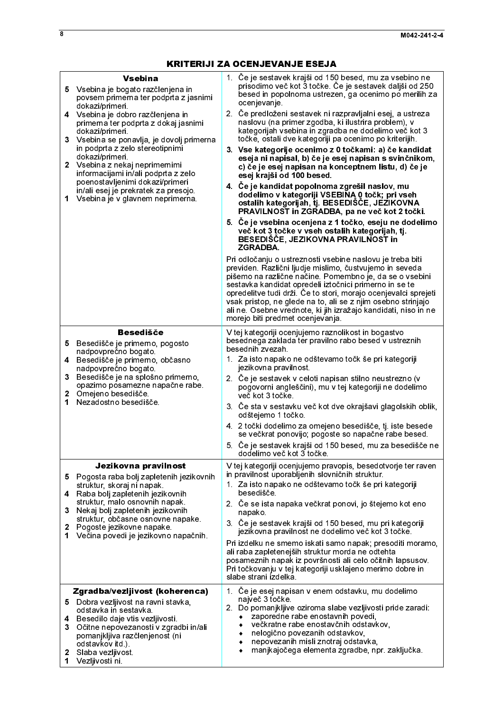| <b>Vsebina</b><br>5 Vsebina je bogato razčlenjena in<br>povsem primerna ter podprta z jasnimi<br>dokazi/primeri.<br>4 Vsebina je dobro razčlenjena in<br>primerna ter podprta z dokaj jasnimi<br>dokazi/primeri.<br>3<br>Vsebina se ponavlja, je dovolj primerna<br>in podprta z zelo stereotipnimi<br>dokazi/primeri.<br>$\mathbf{2}$<br>Vsebina z nekaj neprimernimi<br>informacijami in/ali podprta z zelo<br>poenostavljenimi dokazi/primeri<br>in/ali esej je prekratek za presojo.<br>Vsebina je v glavnem neprimerna.<br>1 | 1. Če je sestavek krajši od 150 besed, mu za vsebino ne<br>prisodimo več kot 3 točke. Če je sestavek daljši od 250<br>besed in popolnoma ustrezen, ga ocenimo po merilih za<br>ocenjevanje<br>2. Če predloženi sestavek ni razpravljalni esej, a ustreza<br>naslovu (na primer zgodba, ki ilustrira problem), v<br>kategorijah vsebina in zgradba ne dodelimo več kot 3<br>točke, ostali dve kategoriji pa ocenimo po kriterijih.<br>3. Vse kategorije ocenimo z 0 točkami: a) če kandidat<br>eseja ni napisal, b) če je esej napisan s svinčnikom,<br>c) če je esej napisan na konceptnem listu, d) če je<br>esej krajši od 100 besed.<br>4. Če je kandidat popolnoma zgrešil naslov, mu<br>dodelimo v kategoriji VSEBINA 0 točk; pri vseh<br>ostalih kategorijah, tj. BESEDIŠČE, JEZIKOVNA<br>PRAVILNOST in ZGRADBA, pa ne več kot 2 točki.<br>5. Če je vsebina ocenjena z 1 točko, eseju ne dodelimo<br>več kot 3 točke v vseh ostalih kategorijah, tj.<br>BESEDIŠČE, JEZIKOVNA PRAVILNOST in<br><b>ZGRADBA.</b><br>Pri odločanju o ustreznosti vsebine naslovu je treba biti<br>previden. Različni ljudje mislimo, čustvujemo in seveda<br>pišemo na različne načine. Pomembno je, da se o vsebini<br>sestavka kandidat opredeli iztočnici primerno in se te<br>opredelitve tudi drži. Če to stori, morajo ocenjevalci sprejeti<br>vsak pristop, ne glede na to, ali se z njim osebno strinjajo<br>ali ne. Osebne vrednote, ki jih izražajo kandidati, niso in ne<br>morejo biti predmet ocenjevanja. |
|-----------------------------------------------------------------------------------------------------------------------------------------------------------------------------------------------------------------------------------------------------------------------------------------------------------------------------------------------------------------------------------------------------------------------------------------------------------------------------------------------------------------------------------|-----------------------------------------------------------------------------------------------------------------------------------------------------------------------------------------------------------------------------------------------------------------------------------------------------------------------------------------------------------------------------------------------------------------------------------------------------------------------------------------------------------------------------------------------------------------------------------------------------------------------------------------------------------------------------------------------------------------------------------------------------------------------------------------------------------------------------------------------------------------------------------------------------------------------------------------------------------------------------------------------------------------------------------------------------------------------------------------------------------------------------------------------------------------------------------------------------------------------------------------------------------------------------------------------------------------------------------------------------------------------------------------------------------------------------------------------------------------------------------------------------------|
| <b>Besedišče</b><br>Besedišče je primerno, pogosto<br>5<br>nadpovprečno bogato.<br>4<br>Besedišče je primerno, občasno<br>nadpovprečno bogato.<br>Besedišče je na splošno primerno,<br>3<br>opazimo posamezne napačne rabe.<br>Omejeno besedišče<br>$\mathbf{2}$<br>1<br>Nezadostno besedišče                                                                                                                                                                                                                                     | V tej kategoriji ocenjujemo raznolikost in bogastvo<br>besednega zaklada ter pravilno rabo besed v ustreznih<br>besednih zvezah.<br>1. Za isto napako ne odštevamo točk še pri kategoriji<br>jezikovna pravilnost<br>2. Če je sestavek v celoti napisan stilno neustrezno (v<br>pogovorni angleščini), mu v tej kategoriji ne dodelimo<br>več kot 3 točke<br>3. Če sta v sestavku več kot dve okrajšavi glagolskih oblik,<br>odštejemo 1 točko<br>4 2 točki dodelimo za omejeno besedišče, tj. iste besede<br>se večkrat ponovijo; pogoste so napačne rabe besed.<br>5. Če je sestavek krajši od 150 besed, mu za besedišče ne<br>dodelimo več kot 3 točke.                                                                                                                                                                                                                                                                                                                                                                                                                                                                                                                                                                                                                                                                                                                                                                                                                                               |
| Jezikovna pravilnost<br>Pogosta raba bolj zapletenih jezikovnih<br>5<br>struktur, skoraj ni napak<br>Raba bolj zapletenih jezikovnih<br>4<br>struktur, malo osnovnih napak.<br>Nekaj bolj zapletenih jezikovnih<br>3<br>struktur, občasne osnovne napake.<br>Pogoste jezikovne napake<br>2<br>Večina povedi je jezikovno napačnih.<br>1                                                                                                                                                                                           | V tej kategoriji ocenjujemo pravopis, besedotvorje ter raven<br>in pravilnost uporabljenih slovničnih struktur.<br>1. Za isto napako ne odštevamo točk še pri kategoriji<br>besedišče.<br>2. Če se ista napaka večkrat ponovi, jo štejemo kot eno<br>napako.<br>3. Če je sestavek krajši od 150 besed, mu pri kategoriji<br>jezikovna pravilnost ne dodelimo več kot 3 točke.<br>Pri izdelku ne smemo iskati samo napak; presoditi moramo,<br>ali raba zapletenejših struktur morda ne odtehta<br>posameznih napak iz površnosti ali celo očitnih lapsusov.<br>Pri točkovanju v tej kategoriji usklajeno merimo dobre in<br>slabe strani izdelka                                                                                                                                                                                                                                                                                                                                                                                                                                                                                                                                                                                                                                                                                                                                                                                                                                                          |
| Zgradba/vezljivost (koherenca)<br>Dobra vezljivost na ravni stavka,<br>5.<br>odstavka in sestavka.<br>Besedilo daje vtis vezljivosti.<br>4<br>Očitne nepovezanosti v zgradbi in/ali<br>3<br>pomanjkljiva razčlenjenost (ni<br>odstavkov itd.)<br>Slaba vezljivost<br>$\mathbf{2}$<br>Vezljivosti ni.<br>1.                                                                                                                                                                                                                        | 1. Če je esej napisan v enem odstavku, mu dodelimo<br>največ 3 točke.<br>2. Do pomanjkljive oziroma slabe vezljivosti pride zaradi:<br>zaporedne rabe enostavnih povedi,<br>večkratne rabe enostavčnih odstavkov,<br>nelogično povezanih odstavkov,<br>nepovezanih misli znotraj odstavka,<br>٠<br>manjkajočega elementa zgradbe, npr. zaključka.                                                                                                                                                                                                                                                                                                                                                                                                                                                                                                                                                                                                                                                                                                                                                                                                                                                                                                                                                                                                                                                                                                                                                         |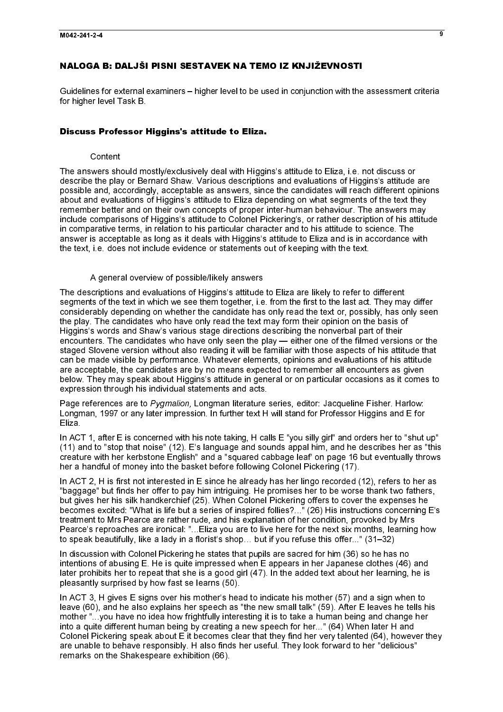# NALOGA B: DALJŠI PISNI SESTAVEK NA TEMO IZ KNJIŽEVNOSTI

Guidelines for external examiners – higher level to be used in conjunction with the assessment criteria for higher level Task B.

# Discuss Professor Higgins's attitude to Eliza.

# Content

The answers should mostly/exclusively deal with Higgins's attitude to Eliza, i.e. not discuss or describe the play or Bernard Shaw. Various descriptions and evaluations of Higgins's attitude are possible and, accordingly, acceptable as answers, since the candidates will reach different opinions about and evaluations of Higgins's attitude to Eliza depending on what segments of the text they remember better and on their own concepts of proper inter-human behaviour. The answers may include comparisons of Higgins's attitude to Colonel Pickering's, or rather description of his attitude in comparative terms, in relation to his particular character and to his attitude to science. The answer is acceptable as long as it deals with Higgins's attitude to Eliza and is in accordance with the text, i.e. does not include evidence or statements out of keeping with the text.

# A general overview of possible/likely answers

The descriptions and evaluations of Higgins's attitude to Eliza are likely to refer to different segments of the text in which we see them together, i.e. from the first to the last act. They may differ considerably depending on whether the candidate has only read the text or, possibly, has only seen the play. The candidates who have only read the text may form their opinion on the basis of Higgins's words and Shaw's various stage directions describing the nonverbal part of their encounters. The candidates who have only seen the play — either one of the filmed versions or the staged Slovene version without also reading it will be familiar with those aspects of his attitude that can be made visible by performance. Whatever elements, opinions and evaluations of his attitude are acceptable, the candidates are by no means expected to remember all encounters as given below. They may speak about Higgins's attitude in general or on particular occasions as it comes to expression through his individual statements and acts.

Longman, 1997 or any later impression. In further text H will stand for Professor Higgins and E for Eliza.

In ACT 1, after E is concerned with his note taking, H calls E "you silly girl" and orders her to "shut up" (11) and to "stop that noise" (12). E's language and sounds appal him, and he describes her as "this creature with her kerbstone English" and a "squared cabbage leaf' on page 16 but eventually throws her a handful of money into the basket before following Colonel Pickering (17).

In ACT 2, H is first not interested in E since he already has her lingo recorded (12), refers to her as "baggage" but finds her offer to pay him intriguing. He promises her to be worse thank two fathers, but gives her his silk handkerchief (25). When Colonel Pickering offers to cover the expenses he becomes excited: "What is life but a series of inspired follies?..." (26) His instructions concerning E's treatment to Mrs Pearce are rather rude, and his explanation of her condition, provoked by Mrs Pearce's reproaches are ironical: "...Eliza you are to live here for the next six months, learning how to speak beautifully, like a lady in a florist's shop… but if you refuse this offer..." (31–32)

In discussion with Colonel Pickering he states that pupils are sacred for him (36) so he has no intentions of abusing E. He is quite impressed when E appears in her Japanese clothes (46) and later prohibits her to repeat that she is a good girl (47). In the added text about her learning, he is pleasantly surprised by how fast se learns (50).

Page references are to Pygmalion, Longman literature series, editor: Jacqueline Fisher. Harlow:<br>Longman, 1997 or any late impression. In further text H will stand for Professor Higgins and E for<br>Eliza.<br>
Eliza.<br>
Chi ACT 1, In ACT 3, H gives E signs over his mother's head to indicate his mother (57) and a sign when to leave (60), and he also explains her speech as "the new small talk" (59). After E leaves he tells his mother "...you have no idea how frightfully interesting it is to take a human being and change her into a quite different human being by creating a new speech for her..." (64) When later H and Colonel Pickering speak about E it becomes clear that they find her very talented (64), however they are unable to behave responsibly. H also finds her useful. They look forward to her "delicious" remarks on the Shakespeare exhibition (66).

 $\overline{\mathbf{a}}$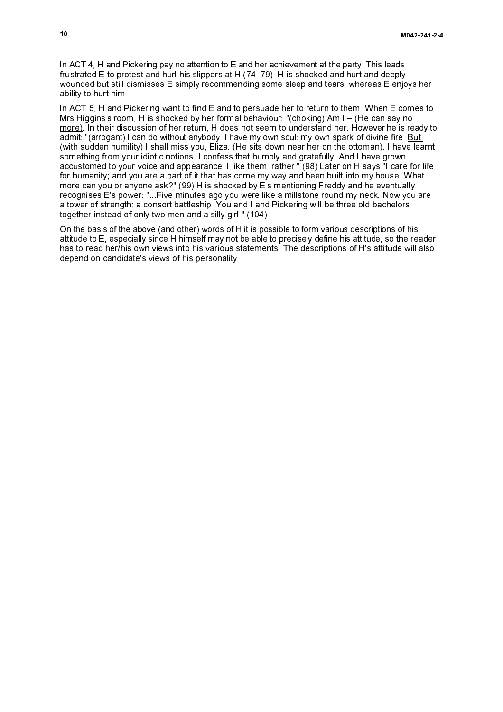In ACT 4, H and Pickering pay no attention to E and her achievement at the party. This leads frustrated E to protest and hurl his slippers at H (74–79). H is shocked and hurt and deeply wounded but still dismisses E simply recommending some sleep and tears, whereas E enjoys her ability to hurt him.

In ACT 5, H and Pickering want to find E and to persuade her to return to them. When E comes to Mrs Higgins's room, H is shocked by her formal behaviour: "(choking) Am I – (He can say no more). In their discussion of her return, H does not seem to understand her. However he is ready to admit: "(arrogant) I can do without anybody. I have my own soul: my own spark of divine fire. But (with sudden humility) I shall miss you, Eliza. (He sits down near her on the ottoman). I have learnt something from your idiotic notions. I confess that humbly and gratefully. And I have grown accustomed to your voice and appearance. I like them, rather." (98) Later on H says "I care for life, for humanity; and you are a part of it that has come my way and been built into my house. What more can you or anyone ask?" (99) H is shocked by E's mentioning Freddy and he eventually recognises E's power: "...Five minutes ago you were like a millstone round my neck. Now you are a tower of strength: a consort battleship. You and I and Pickering will be three old bachelors together instead of only two men and a silly girl." (104)

On the basis of the above (and other) words of H it is possible to form various descriptions of his attitude to E, especially since H himself may not be able to precisely define his attitude, so the reader has to read her/his own views into his various statements. The descriptions of H's attitude will also depend on candidate's views of his personality.